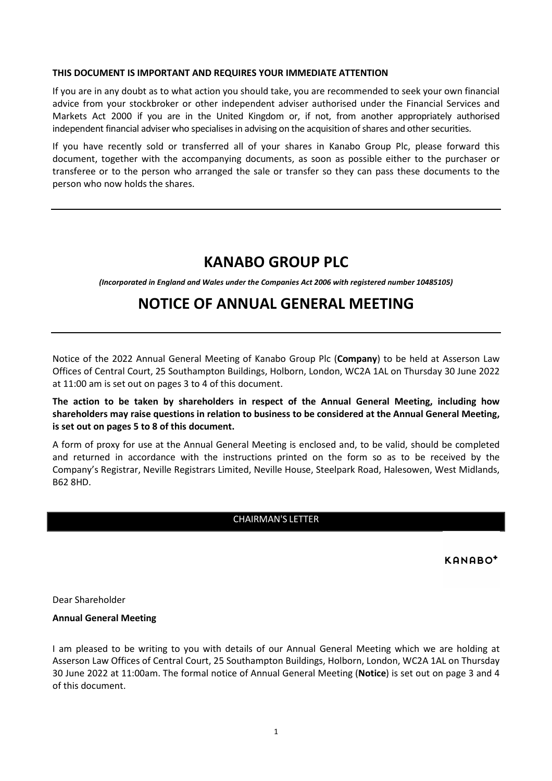#### **THIS DOCUMENT IS IMPORTANT AND REQUIRES YOUR IMMEDIATE ATTENTION**

If you are in any doubt as to what action you should take, you are recommended to seek your own financial advice from your stockbroker or other independent adviser authorised under the Financial Services and Markets Act 2000 if you are in the United Kingdom or, if not, from another appropriately authorised independent financial adviser who specialises in advising on the acquisition of shares and other securities.

If you have recently sold or transferred all of your shares in Kanabo Group Plc, please forward this document, together with the accompanying documents, as soon as possible either to the purchaser or transferee or to the person who arranged the sale or transfer so they can pass these documents to the person who now holds the shares.

# **KANABO GROUP PLC**

*(Incorporated in England and Wales under the Companies Act 2006 with registered number 10485105)* 

# **NOTICE OF ANNUAL GENERAL MEETING**

Notice of the 2022 Annual General Meeting of Kanabo Group Plc (**Company**) to be held at Asserson Law Offices of Central Court, 25 Southampton Buildings, Holborn, London, WC2A 1AL on Thursday 30 June 2022 at 11:00 am is set out on pages 3 to 4 of this document.

**The action to be taken by shareholders in respect of the Annual General Meeting, including how shareholders may raise questions in relation to business to be considered at the Annual General Meeting, is set out on pages 5 to 8 of this document.** 

A form of proxy for use at the Annual General Meeting is enclosed and, to be valid, should be completed and returned in accordance with the instructions printed on the form so as to be received by the Company's Registrar, Neville Registrars Limited, Neville House, Steelpark Road, Halesowen, West Midlands, B62 8HD.

# CHAIRMAN'S LETTER

KANABO<sup>+</sup>

Dear Shareholder

## **Annual General Meeting**

I am pleased to be writing to you with details of our Annual General Meeting which we are holding at Asserson Law Offices of Central Court, 25 Southampton Buildings, Holborn, London, WC2A 1AL on Thursday 30 June 2022 at 11:00am. The formal notice of Annual General Meeting (**Notice**) is set out on page 3 and 4 of this document.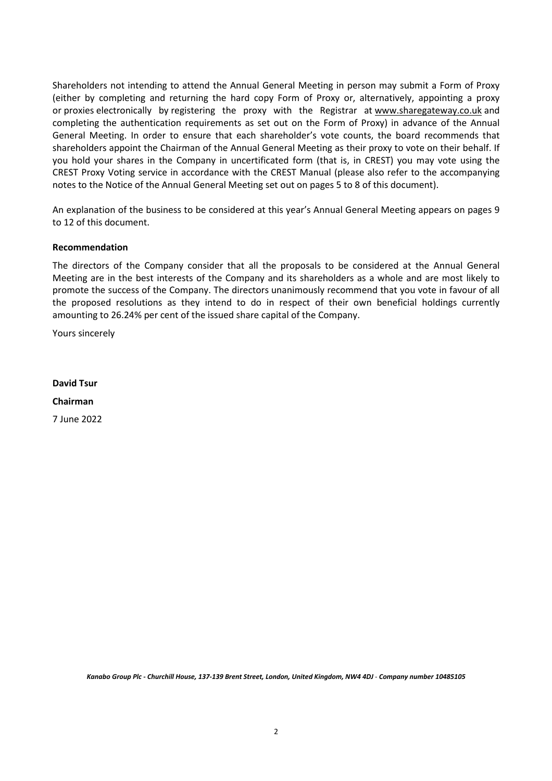Shareholders not intending to attend the Annual General Meeting in person may submit a Form of Proxy (either by completing and returning the hard copy Form of Proxy or, alternatively, appointing a proxy or proxies electronically by registering the proxy with the Registrar at www.sharegateway.co.uk and completing the authentication requirements as set out on the Form of Proxy) in advance of the Annual General Meeting. In order to ensure that each shareholder's vote counts, the board recommends that shareholders appoint the Chairman of the Annual General Meeting as their proxy to vote on their behalf. If you hold your shares in the Company in uncertificated form (that is, in CREST) you may vote using the CREST Proxy Voting service in accordance with the CREST Manual (please also refer to the accompanying notes to the Notice of the Annual General Meeting set out on pages 5 to 8 of this document).

An explanation of the business to be considered at this year's Annual General Meeting appears on pages 9 to 12 of this document.

#### **Recommendation**

The directors of the Company consider that all the proposals to be considered at the Annual General Meeting are in the best interests of the Company and its shareholders as a whole and are most likely to promote the success of the Company. The directors unanimously recommend that you vote in favour of all the proposed resolutions as they intend to do in respect of their own beneficial holdings currently amounting to 26.24% per cent of the issued share capital of the Company.

Yours sincerely

**David Tsur Chairman** 

7 June 2022

Kanabo Group Plc - Churchill House, 137-139 Brent Street, London, United Kingdom, NW4 4DJ - Company number 10485105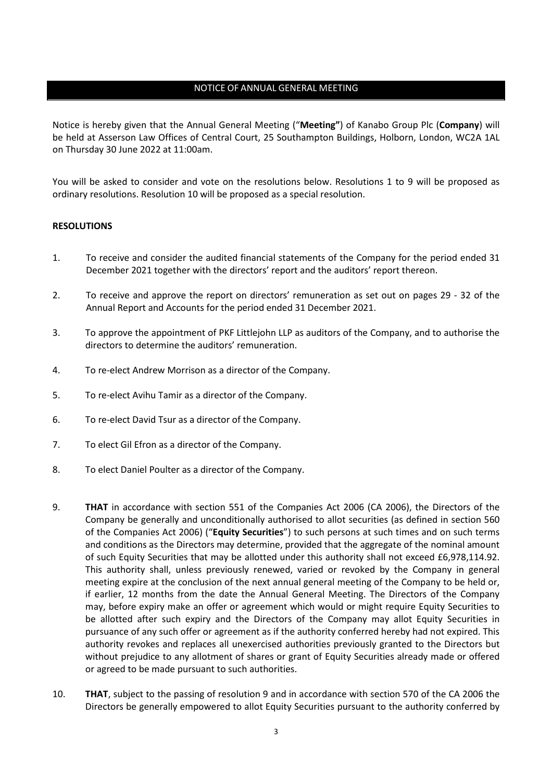# NOTICE OF ANNUAL GENERAL MEETING

Notice is hereby given that the Annual General Meeting ("**Meeting"**) of Kanabo Group Plc (**Company**) will be held at Asserson Law Offices of Central Court, 25 Southampton Buildings, Holborn, London, WC2A 1AL on Thursday 30 June 2022 at 11:00am.

You will be asked to consider and vote on the resolutions below. Resolutions 1 to 9 will be proposed as ordinary resolutions. Resolution 10 will be proposed as a special resolution.

### **RESOLUTIONS**

- 1. To receive and consider the audited financial statements of the Company for the period ended 31 December 2021 together with the directors' report and the auditors' report thereon.
- 2. To receive and approve the report on directors' remuneration as set out on pages 29 32 of the Annual Report and Accounts for the period ended 31 December 2021.
- 3. To approve the appointment of PKF Littlejohn LLP as auditors of the Company, and to authorise the directors to determine the auditors' remuneration.
- 4. To re-elect Andrew Morrison as a director of the Company.
- 5. To re-elect Avihu Tamir as a director of the Company.
- 6. To re-elect David Tsur as a director of the Company.
- 7. To elect Gil Efron as a director of the Company.
- 8. To elect Daniel Poulter as a director of the Company.
- 9. **THAT** in accordance with section 551 of the Companies Act 2006 (CA 2006), the Directors of the Company be generally and unconditionally authorised to allot securities (as defined in section 560 of the Companies Act 2006) ("**Equity Securities**") to such persons at such times and on such terms and conditions as the Directors may determine, provided that the aggregate of the nominal amount of such Equity Securities that may be allotted under this authority shall not exceed £6,978,114.92. This authority shall, unless previously renewed, varied or revoked by the Company in general meeting expire at the conclusion of the next annual general meeting of the Company to be held or, if earlier, 12 months from the date the Annual General Meeting. The Directors of the Company may, before expiry make an offer or agreement which would or might require Equity Securities to be allotted after such expiry and the Directors of the Company may allot Equity Securities in pursuance of any such offer or agreement as if the authority conferred hereby had not expired. This authority revokes and replaces all unexercised authorities previously granted to the Directors but without prejudice to any allotment of shares or grant of Equity Securities already made or offered or agreed to be made pursuant to such authorities.
- 10. **THAT**, subject to the passing of resolution 9 and in accordance with section 570 of the CA 2006 the Directors be generally empowered to allot Equity Securities pursuant to the authority conferred by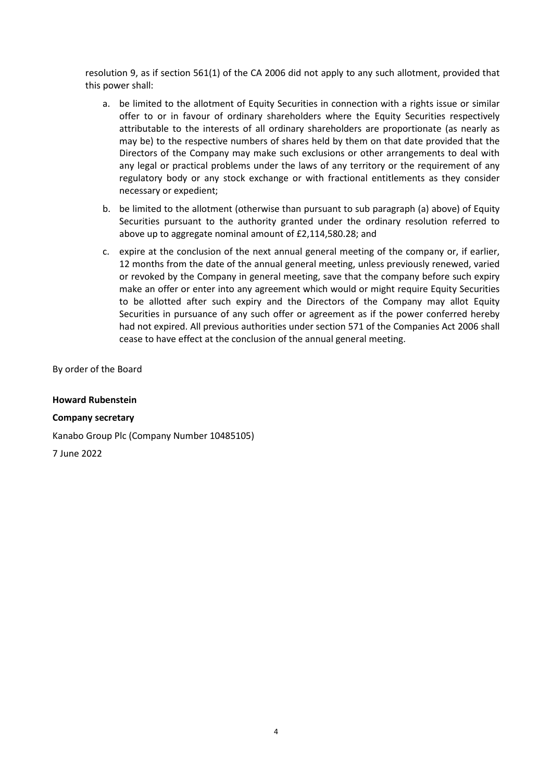resolution 9, as if section 561(1) of the CA 2006 did not apply to any such allotment, provided that this power shall:

- a. be limited to the allotment of Equity Securities in connection with a rights issue or similar offer to or in favour of ordinary shareholders where the Equity Securities respectively attributable to the interests of all ordinary shareholders are proportionate (as nearly as may be) to the respective numbers of shares held by them on that date provided that the Directors of the Company may make such exclusions or other arrangements to deal with any legal or practical problems under the laws of any territory or the requirement of any regulatory body or any stock exchange or with fractional entitlements as they consider necessary or expedient;
- b. be limited to the allotment (otherwise than pursuant to sub paragraph (a) above) of Equity Securities pursuant to the authority granted under the ordinary resolution referred to above up to aggregate nominal amount of £2,114,580.28; and
- c. expire at the conclusion of the next annual general meeting of the company or, if earlier, 12 months from the date of the annual general meeting, unless previously renewed, varied or revoked by the Company in general meeting, save that the company before such expiry make an offer or enter into any agreement which would or might require Equity Securities to be allotted after such expiry and the Directors of the Company may allot Equity Securities in pursuance of any such offer or agreement as if the power conferred hereby had not expired. All previous authorities under section 571 of the Companies Act 2006 shall cease to have effect at the conclusion of the annual general meeting.

By order of the Board

**Howard Rubenstein** 

**Company secretary** 

Kanabo Group Plc (Company Number 10485105)

7 June 2022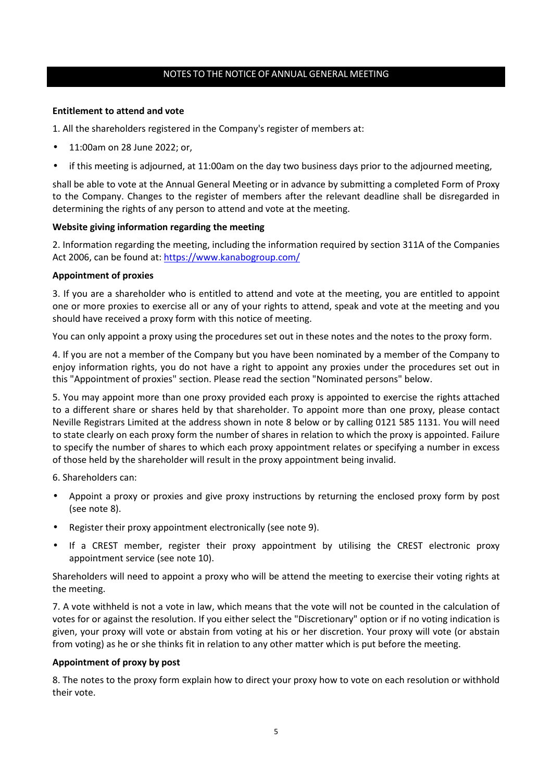## NOTES TO THE NOTICE OF ANNUAL GENERAL MEETING

### **Entitlement to attend and vote**

1. All the shareholders registered in the Company's register of members at:

- 11:00am on 28 June 2022; or,
- if this meeting is adjourned, at 11:00am on the day two business days prior to the adjourned meeting,

shall be able to vote at the Annual General Meeting or in advance by submitting a completed Form of Proxy to the Company. Changes to the register of members after the relevant deadline shall be disregarded in determining the rights of any person to attend and vote at the meeting.

#### **Website giving information regarding the meeting**

2. Information regarding the meeting, including the information required by section 311A of the Companies Act 2006, can be found at: https://www.kanabogroup.com/

#### **Appointment of proxies**

3. If you are a shareholder who is entitled to attend and vote at the meeting, you are entitled to appoint one or more proxies to exercise all or any of your rights to attend, speak and vote at the meeting and you should have received a proxy form with this notice of meeting.

You can only appoint a proxy using the procedures set out in these notes and the notes to the proxy form.

4. If you are not a member of the Company but you have been nominated by a member of the Company to enjoy information rights, you do not have a right to appoint any proxies under the procedures set out in this "Appointment of proxies" section. Please read the section "Nominated persons" below.

5. You may appoint more than one proxy provided each proxy is appointed to exercise the rights attached to a different share or shares held by that shareholder. To appoint more than one proxy, please contact Neville Registrars Limited at the address shown in note 8 below or by calling 0121 585 1131. You will need to state clearly on each proxy form the number of shares in relation to which the proxy is appointed. Failure to specify the number of shares to which each proxy appointment relates or specifying a number in excess of those held by the shareholder will result in the proxy appointment being invalid.

6. Shareholders can:

- Appoint a proxy or proxies and give proxy instructions by returning the enclosed proxy form by post (see note 8).
- Register their proxy appointment electronically (see note 9).
- If a CREST member, register their proxy appointment by utilising the CREST electronic proxy appointment service (see note 10).

Shareholders will need to appoint a proxy who will be attend the meeting to exercise their voting rights at the meeting.

7. A vote withheld is not a vote in law, which means that the vote will not be counted in the calculation of votes for or against the resolution. If you either select the "Discretionary" option or if no voting indication is given, your proxy will vote or abstain from voting at his or her discretion. Your proxy will vote (or abstain from voting) as he or she thinks fit in relation to any other matter which is put before the meeting.

#### **Appointment of proxy by post**

8. The notes to the proxy form explain how to direct your proxy how to vote on each resolution or withhold their vote.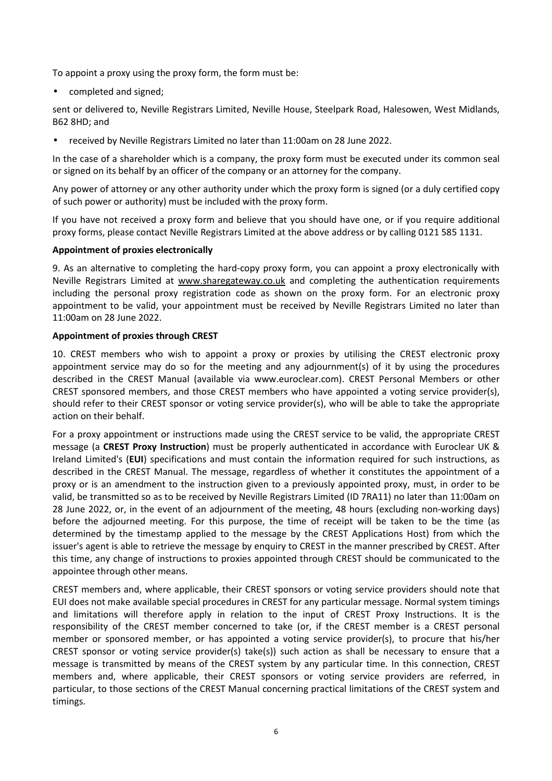To appoint a proxy using the proxy form, the form must be:

• completed and signed;

sent or delivered to, Neville Registrars Limited, Neville House, Steelpark Road, Halesowen, West Midlands, B62 8HD; and

• received by Neville Registrars Limited no later than 11:00am on 28 June 2022.

In the case of a shareholder which is a company, the proxy form must be executed under its common seal or signed on its behalf by an officer of the company or an attorney for the company.

Any power of attorney or any other authority under which the proxy form is signed (or a duly certified copy of such power or authority) must be included with the proxy form.

If you have not received a proxy form and believe that you should have one, or if you require additional proxy forms, please contact Neville Registrars Limited at the above address or by calling 0121 585 1131.

# **Appointment of proxies electronically**

9. As an alternative to completing the hard-copy proxy form, you can appoint a proxy electronically with Neville Registrars Limited at www.sharegateway.co.uk and completing the authentication requirements including the personal proxy registration code as shown on the proxy form. For an electronic proxy appointment to be valid, your appointment must be received by Neville Registrars Limited no later than 11:00am on 28 June 2022.

# **Appointment of proxies through CREST**

10. CREST members who wish to appoint a proxy or proxies by utilising the CREST electronic proxy appointment service may do so for the meeting and any adjournment(s) of it by using the procedures described in the CREST Manual (available via www.euroclear.com). CREST Personal Members or other CREST sponsored members, and those CREST members who have appointed a voting service provider(s), should refer to their CREST sponsor or voting service provider(s), who will be able to take the appropriate action on their behalf.

For a proxy appointment or instructions made using the CREST service to be valid, the appropriate CREST message (a **CREST Proxy Instruction**) must be properly authenticated in accordance with Euroclear UK & Ireland Limited's (**EUI**) specifications and must contain the information required for such instructions, as described in the CREST Manual. The message, regardless of whether it constitutes the appointment of a proxy or is an amendment to the instruction given to a previously appointed proxy, must, in order to be valid, be transmitted so as to be received by Neville Registrars Limited (ID 7RA11) no later than 11:00am on 28 June 2022, or, in the event of an adjournment of the meeting, 48 hours (excluding non-working days) before the adjourned meeting. For this purpose, the time of receipt will be taken to be the time (as determined by the timestamp applied to the message by the CREST Applications Host) from which the issuer's agent is able to retrieve the message by enquiry to CREST in the manner prescribed by CREST. After this time, any change of instructions to proxies appointed through CREST should be communicated to the appointee through other means.

CREST members and, where applicable, their CREST sponsors or voting service providers should note that EUI does not make available special procedures in CREST for any particular message. Normal system timings and limitations will therefore apply in relation to the input of CREST Proxy Instructions. It is the responsibility of the CREST member concerned to take (or, if the CREST member is a CREST personal member or sponsored member, or has appointed a voting service provider(s), to procure that his/her CREST sponsor or voting service provider(s) take(s)) such action as shall be necessary to ensure that a message is transmitted by means of the CREST system by any particular time. In this connection, CREST members and, where applicable, their CREST sponsors or voting service providers are referred, in particular, to those sections of the CREST Manual concerning practical limitations of the CREST system and timings.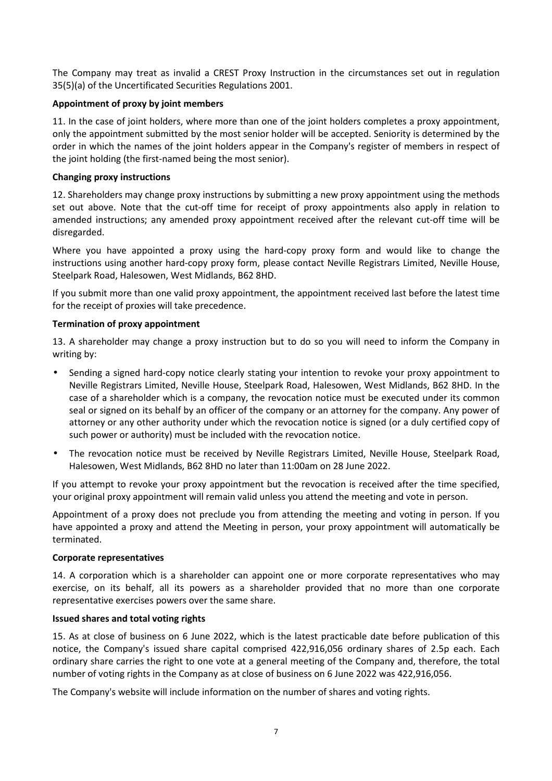The Company may treat as invalid a CREST Proxy Instruction in the circumstances set out in regulation 35(5)(a) of the Uncertificated Securities Regulations 2001.

# **Appointment of proxy by joint members**

11. In the case of joint holders, where more than one of the joint holders completes a proxy appointment, only the appointment submitted by the most senior holder will be accepted. Seniority is determined by the order in which the names of the joint holders appear in the Company's register of members in respect of the joint holding (the first-named being the most senior).

## **Changing proxy instructions**

12. Shareholders may change proxy instructions by submitting a new proxy appointment using the methods set out above. Note that the cut-off time for receipt of proxy appointments also apply in relation to amended instructions; any amended proxy appointment received after the relevant cut-off time will be disregarded.

Where you have appointed a proxy using the hard-copy proxy form and would like to change the instructions using another hard-copy proxy form, please contact Neville Registrars Limited, Neville House, Steelpark Road, Halesowen, West Midlands, B62 8HD.

If you submit more than one valid proxy appointment, the appointment received last before the latest time for the receipt of proxies will take precedence.

# **Termination of proxy appointment**

13. A shareholder may change a proxy instruction but to do so you will need to inform the Company in writing by:

- Sending a signed hard-copy notice clearly stating your intention to revoke your proxy appointment to Neville Registrars Limited, Neville House, Steelpark Road, Halesowen, West Midlands, B62 8HD. In the case of a shareholder which is a company, the revocation notice must be executed under its common seal or signed on its behalf by an officer of the company or an attorney for the company. Any power of attorney or any other authority under which the revocation notice is signed (or a duly certified copy of such power or authority) must be included with the revocation notice.
- The revocation notice must be received by Neville Registrars Limited, Neville House, Steelpark Road, Halesowen, West Midlands, B62 8HD no later than 11:00am on 28 June 2022.

If you attempt to revoke your proxy appointment but the revocation is received after the time specified, your original proxy appointment will remain valid unless you attend the meeting and vote in person.

Appointment of a proxy does not preclude you from attending the meeting and voting in person. If you have appointed a proxy and attend the Meeting in person, your proxy appointment will automatically be terminated.

### **Corporate representatives**

14. A corporation which is a shareholder can appoint one or more corporate representatives who may exercise, on its behalf, all its powers as a shareholder provided that no more than one corporate representative exercises powers over the same share.

### **Issued shares and total voting rights**

15. As at close of business on 6 June 2022, which is the latest practicable date before publication of this notice, the Company's issued share capital comprised 422,916,056 ordinary shares of 2.5p each. Each ordinary share carries the right to one vote at a general meeting of the Company and, therefore, the total number of voting rights in the Company as at close of business on 6 June 2022 was 422,916,056.

The Company's website will include information on the number of shares and voting rights.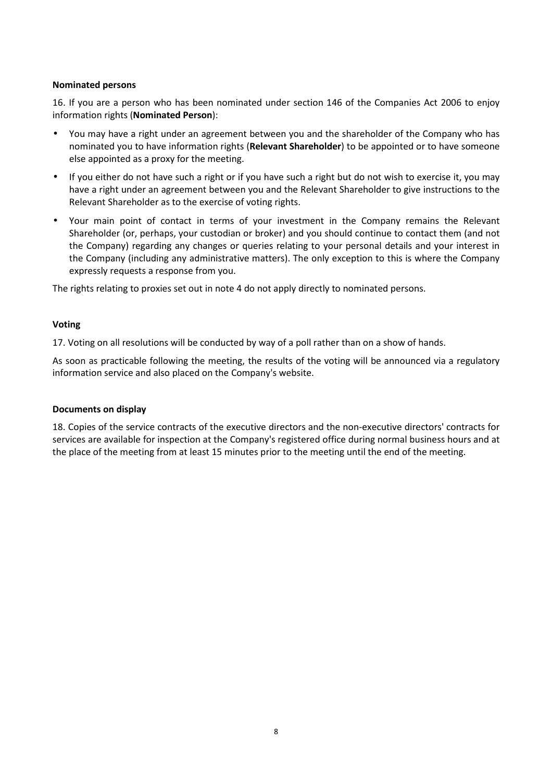#### **Nominated persons**

16. If you are a person who has been nominated under section 146 of the Companies Act 2006 to enjoy information rights (**Nominated Person**):

- You may have a right under an agreement between you and the shareholder of the Company who has nominated you to have information rights (**Relevant Shareholder**) to be appointed or to have someone else appointed as a proxy for the meeting.
- If you either do not have such a right or if you have such a right but do not wish to exercise it, you may have a right under an agreement between you and the Relevant Shareholder to give instructions to the Relevant Shareholder as to the exercise of voting rights.
- Your main point of contact in terms of your investment in the Company remains the Relevant Shareholder (or, perhaps, your custodian or broker) and you should continue to contact them (and not the Company) regarding any changes or queries relating to your personal details and your interest in the Company (including any administrative matters). The only exception to this is where the Company expressly requests a response from you.

The rights relating to proxies set out in note 4 do not apply directly to nominated persons.

#### **Voting**

17. Voting on all resolutions will be conducted by way of a poll rather than on a show of hands.

As soon as practicable following the meeting, the results of the voting will be announced via a regulatory information service and also placed on the Company's website.

### **Documents on display**

18. Copies of the service contracts of the executive directors and the non-executive directors' contracts for services are available for inspection at the Company's registered office during normal business hours and at the place of the meeting from at least 15 minutes prior to the meeting until the end of the meeting.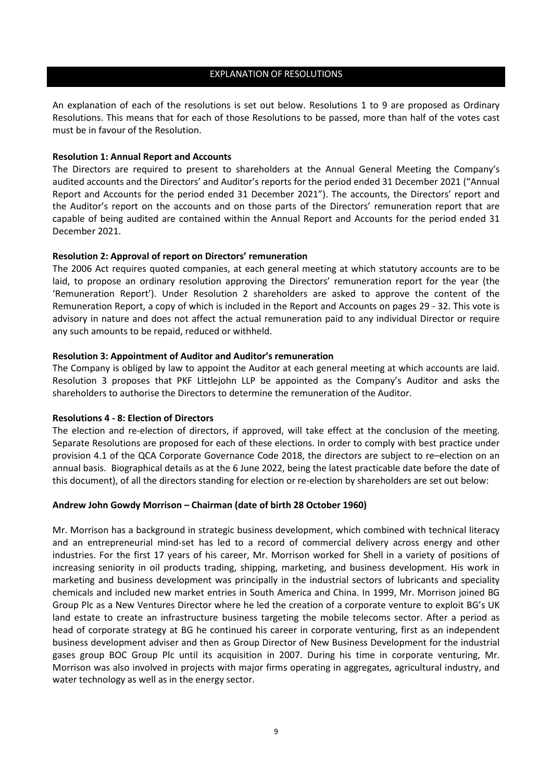#### EXPLANATION OF RESOLUTIONS

An explanation of each of the resolutions is set out below. Resolutions 1 to 9 are proposed as Ordinary Resolutions. This means that for each of those Resolutions to be passed, more than half of the votes cast must be in favour of the Resolution.

#### **Resolution 1: Annual Report and Accounts**

The Directors are required to present to shareholders at the Annual General Meeting the Company's audited accounts and the Directors' and Auditor's reports for the period ended 31 December 2021 ("Annual Report and Accounts for the period ended 31 December 2021"). The accounts, the Directors' report and the Auditor's report on the accounts and on those parts of the Directors' remuneration report that are capable of being audited are contained within the Annual Report and Accounts for the period ended 31 December 2021.

#### **Resolution 2: Approval of report on Directors' remuneration**

The 2006 Act requires quoted companies, at each general meeting at which statutory accounts are to be laid, to propose an ordinary resolution approving the Directors' remuneration report for the year (the 'Remuneration Report'). Under Resolution 2 shareholders are asked to approve the content of the Remuneration Report, a copy of which is included in the Report and Accounts on pages 29 - 32. This vote is advisory in nature and does not affect the actual remuneration paid to any individual Director or require any such amounts to be repaid, reduced or withheld.

#### **Resolution 3: Appointment of Auditor and Auditor's remuneration**

The Company is obliged by law to appoint the Auditor at each general meeting at which accounts are laid. Resolution 3 proposes that PKF Littlejohn LLP be appointed as the Company's Auditor and asks the shareholders to authorise the Directors to determine the remuneration of the Auditor.

### **Resolutions 4 - 8: Election of Directors**

The election and re-election of directors, if approved, will take effect at the conclusion of the meeting. Separate Resolutions are proposed for each of these elections. In order to comply with best practice under provision 4.1 of the QCA Corporate Governance Code 2018, the directors are subject to re–election on an annual basis. Biographical details as at the 6 June 2022, being the latest practicable date before the date of this document), of all the directors standing for election or re-election by shareholders are set out below:

### **Andrew John Gowdy Morrison – Chairman (date of birth 28 October 1960)**

Mr. Morrison has a background in strategic business development, which combined with technical literacy and an entrepreneurial mind-set has led to a record of commercial delivery across energy and other industries. For the first 17 years of his career, Mr. Morrison worked for Shell in a variety of positions of increasing seniority in oil products trading, shipping, marketing, and business development. His work in marketing and business development was principally in the industrial sectors of lubricants and speciality chemicals and included new market entries in South America and China. In 1999, Mr. Morrison joined BG Group Plc as a New Ventures Director where he led the creation of a corporate venture to exploit BG's UK land estate to create an infrastructure business targeting the mobile telecoms sector. After a period as head of corporate strategy at BG he continued his career in corporate venturing, first as an independent business development adviser and then as Group Director of New Business Development for the industrial gases group BOC Group Plc until its acquisition in 2007. During his time in corporate venturing, Mr. Morrison was also involved in projects with major firms operating in aggregates, agricultural industry, and water technology as well as in the energy sector.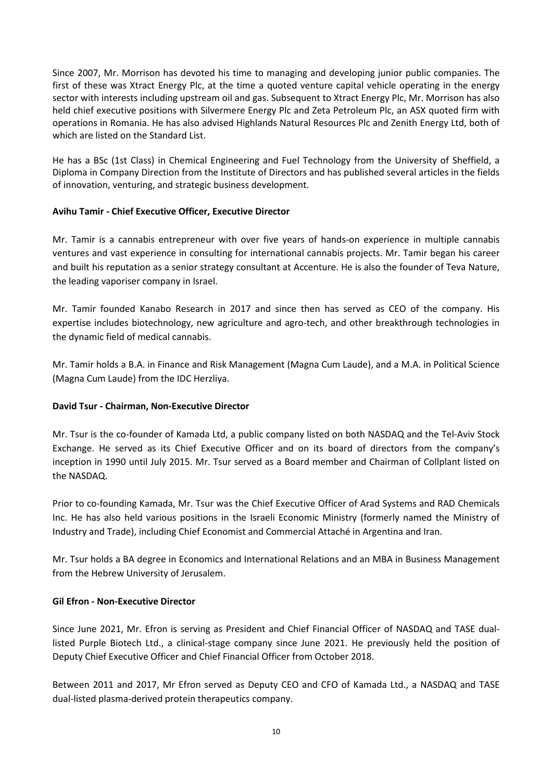Since 2007, Mr. Morrison has devoted his time to managing and developing junior public companies. The first of these was Xtract Energy Plc, at the time a quoted venture capital vehicle operating in the energy sector with interests including upstream oil and gas. Subsequent to Xtract Energy Plc, Mr. Morrison has also held chief executive positions with Silvermere Energy Plc and Zeta Petroleum Plc, an ASX quoted firm with operations in Romania. He has also advised Highlands Natural Resources Plc and Zenith Energy Ltd, both of which are listed on the Standard List.

He has a BSc (1st Class) in Chemical Engineering and Fuel Technology from the University of Sheffield, a Diploma in Company Direction from the Institute of Directors and has published several articles in the fields of innovation, venturing, and strategic business development.

# **Avihu Tamir - Chief Executive Officer, Executive Director**

Mr. Tamir is a cannabis entrepreneur with over five years of hands-on experience in multiple cannabis ventures and vast experience in consulting for international cannabis projects. Mr. Tamir began his career and built his reputation as a senior strategy consultant at Accenture. He is also the founder of Teva Nature, the leading vaporiser company in Israel.

Mr. Tamir founded Kanabo Research in 2017 and since then has served as CEO of the company. His expertise includes biotechnology, new agriculture and agro-tech, and other breakthrough technologies in the dynamic field of medical cannabis.

Mr. Tamir holds a B.A. in Finance and Risk Management (Magna Cum Laude), and a M.A. in Political Science (Magna Cum Laude) from the IDC Herzliya.

### **David Tsur - Chairman, Non-Executive Director**

Mr. Tsur is the co-founder of Kamada Ltd, a public company listed on both NASDAQ and the Tel-Aviv Stock Exchange. He served as its Chief Executive Officer and on its board of directors from the company's inception in 1990 until July 2015. Mr. Tsur served as a Board member and Chairman of Collplant listed on the NASDAQ.

Prior to co-founding Kamada, Mr. Tsur was the Chief Executive Officer of Arad Systems and RAD Chemicals Inc. He has also held various positions in the Israeli Economic Ministry (formerly named the Ministry of Industry and Trade), including Chief Economist and Commercial Attaché in Argentina and Iran.

Mr. Tsur holds a BA degree in Economics and International Relations and an MBA in Business Management from the Hebrew University of Jerusalem.

### **Gil Efron - Non-Executive Director**

Since June 2021, Mr. Efron is serving as President and Chief Financial Officer of NASDAQ and TASE duallisted Purple Biotech Ltd., a clinical-stage company since June 2021. He previously held the position of Deputy Chief Executive Officer and Chief Financial Officer from October 2018.

Between 2011 and 2017, Mr Efron served as Deputy CEO and CFO of Kamada Ltd., a NASDAQ and TASE dual-listed plasma-derived protein therapeutics company.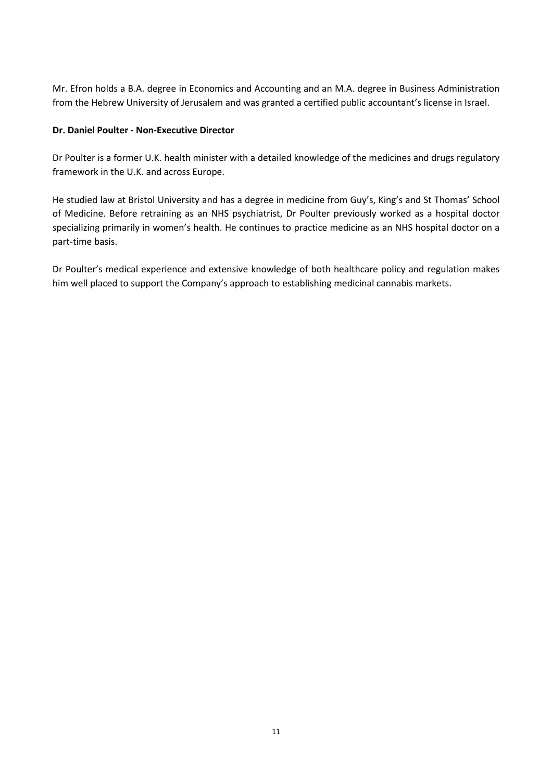Mr. Efron holds a B.A. degree in Economics and Accounting and an M.A. degree in Business Administration from the Hebrew University of Jerusalem and was granted a certified public accountant's license in Israel.

# **Dr. Daniel Poulter - Non-Executive Director**

Dr Poulter is a former U.K. health minister with a detailed knowledge of the medicines and drugs regulatory framework in the U.K. and across Europe.

He studied law at Bristol University and has a degree in medicine from Guy's, King's and St Thomas' School of Medicine. Before retraining as an NHS psychiatrist, Dr Poulter previously worked as a hospital doctor specializing primarily in women's health. He continues to practice medicine as an NHS hospital doctor on a part-time basis.

Dr Poulter's medical experience and extensive knowledge of both healthcare policy and regulation makes him well placed to support the Company's approach to establishing medicinal cannabis markets.